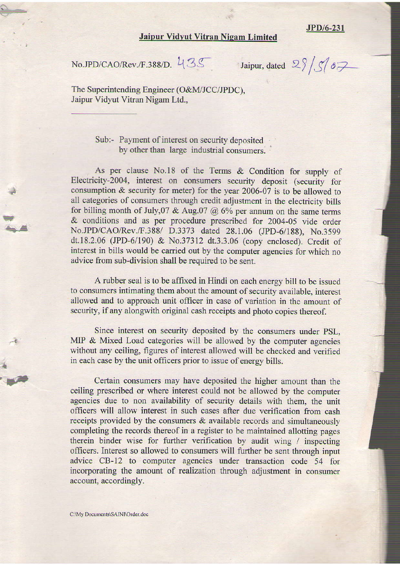## **Jaipur Vidyut Vitran Nigam Limited**

JPD/6-231

No.JPD/CAO/Rev./F.388/D.  $435$  Jaipur, dated  $2\frac{8}{56}$ 

The Superintending Engineer (O&M/JCC/JPDC), Jaipur Vidyut Vitran Nigam Ltd.,

> Sub:- Payment of interest on security deposited by other than large industrial consumers.

As per clause No.18 of the Terms & Condition for supply of Electricity-2004, interest on consumers security deposit (security for consumption & security for meter) for the year 2006-07 is to be allowed to all categories of consumers through credit adjustment in the electricity bills for billing month of July,  $07 \& Aug. 07 \& 6\%$  per annum on the same terms & conditions and as per procedure prescribed for 2004-05 vide order No.JPD/CAO/Rev./F.388/ D.3373 dated 28.1.06 (JpD-6/188), No.3599 dt.18.2.06 (JPD-6/190) & No.37312 dt.3.3.06 (copy enclosed). Credit of interest in bills would be carried out by the computer agencies for which no advice from sub-division shall be required to be sent.

A rubber seal is to be affixed in Hindi on each energy bill to be issued to consumers intimating them about the amount of security available, interest allowed and to approach unit officer in case of variation in the amount of security, if any alongwith original cash receipts and photo copies thereof.

Since interest on security deposited by the consumers under PSL, MIP & Mixed Load categories will be allowed by the computer agencies without any ceiling, figures of interest allowed will be checked and verified in each case by the unit officers prior to issue of energy bills.

Certain consumers may have deposited the higher amount than the ceiling prescribed or where interest could not be allowed by the computer agencies due to non availability of security details with them, the unit officers will allow interest in such cases after due verification from cash receipts provided by the consumers & available records and simultaneously completing the records thereof in a register to be maintained allotting pages therein binder wise for further verification by audit wing / inspecting officers. Interest so allowed to consumers will further be sent through input advice CB-12 to computer agencies under tansaction code 54 for incorporating the amount of realization through adjustment in consumer account, accordingly.

: